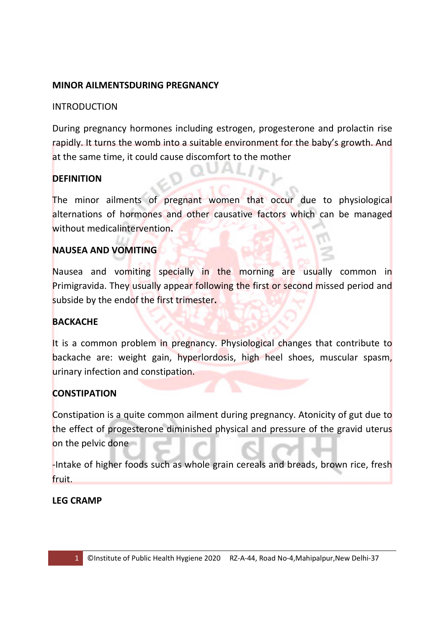## **MINOR AILMENTSDURING PREGNANCY**

## INTRODUCTION

During pregnancy hormones including estrogen, progesterone and prolactin rise rapidly. It turns the womb into a suitable environment for the baby's growth. And at the same time, it could cause discomfort to the mother

## **DEFINITION**

The minor ailments of pregnant women that occur due to physiological alternations of hormones and other causative factors which can be managed without medicalintervention**.** 

## **NAUSEA AND VOMITING**

Nausea and vomiting specially in the morning are usually common in Primigravida. They usually appear following the first or second missed period and subside by the endof the first trimester**.** 

#### **BACKACHE**

It is a common problem in pregnancy. Physiological changes that contribute to backache are: weight gain, hyperlordosis, high heel shoes, muscular spasm, urinary infection and constipation.

# **CONSTIPATION**

Constipation is a quite common ailment during pregnancy. Atonicity of gut due to the effect of progesterone diminished physical and pressure of the gravid uterus on the pelvic done

-Intake of higher foods such as whole grain cereals and breads, brown rice, fresh fruit.

#### **LEG CRAMP**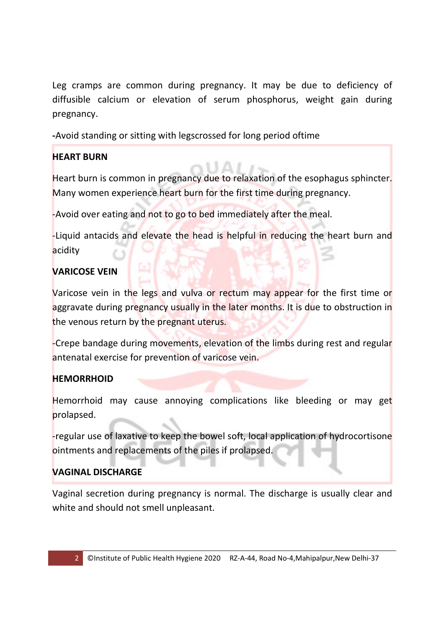Leg cramps are common during pregnancy. It may be due to deficiency of diffusible calcium or elevation of serum phosphorus, weight gain during pregnancy.

**-**Avoid standing or sitting with legscrossed for long period oftime

# **HEART BURN**

Heart burn is common in pregnancy due to relaxation of the esophagus sphincter. Many women experience heart burn for the first time during pregnancy.

-Avoid over eating and not to go to bed immediately after the meal.

-Liquid antacids and elevate the head is helpful in reducing the heart burn and acidity

# **VARICOSE VEIN**

Varicose vein in the legs and vulva or rectum may appear for the first time or aggravate during pregnancy usually in the later months. It is due to obstruction in the venous return by the pregnant uterus.

-Crepe bandage during movements, elevation of the limbs during rest and regular antenatal exercise for prevention of varicose vein.

# **HEMORRHOID**

Hemorrhoid may cause annoying complications like bleeding or may get prolapsed.

-regular use of laxative to keep the bowel soft, local application of hydrocortisone ointments and replacements of the piles if prolapsed.

# **VAGINAL DISCHARGE**

Vaginal secretion during pregnancy is normal. The discharge is usually clear and white and should not smell unpleasant.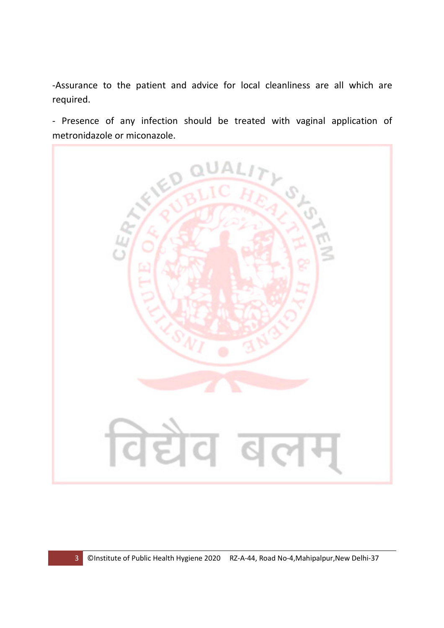-Assurance to the patient and advice for local cleanliness are all which are required.

- Presence of any infection should be treated with vaginal application of metronidazole or miconazole.

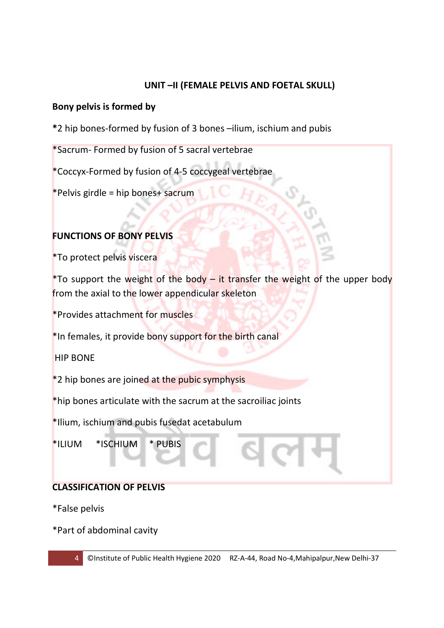## **UNIT –II (FEMALE PELVIS AND FOETAL SKULL)**

#### **Bony pelvis is formed by**

**\***2 hip bones-formed by fusion of 3 bones –ilium, ischium and pubis

\*Sacrum- Formed by fusion of 5 sacral vertebrae

\*Coccyx-Formed by fusion of 4-5 coccygeal vertebrae

\*Pelvis girdle = hip bones+ sacrum

# **FUNCTIONS OF BONY PELVIS**

\*To protect pelvis viscera

\*To support the weight of the body – it transfer the weight of the upper body from the axial to the lower appendicular skeleton

\*Provides attachment for muscles

\*In females, it provide bony support for the birth canal

HIP BONE

\*2 hip bones are joined at the pubic symphysis

\*hip bones articulate with the sacrum at the sacroiliac joints

\*Ilium, ischium and pubis fusedat acetabulum

\*ILIUM \*ISCHIUM \* PUBIS

# **CLASSIFICATION OF PELVIS**

\*False pelvis

\*Part of abdominal cavity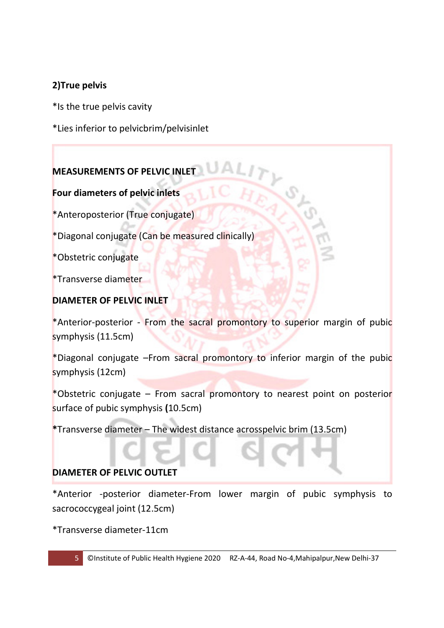# **2)True pelvis**

\*Is the true pelvis cavity

\*Lies inferior to pelvicbrim/pelvisinlet

# **MEASUREMENTS OF PELVIC INLET**

**Four diameters of pelvic inlets** 

\*Anteroposterior (True conjugate)

\*Diagonal conjugate (Can be measured clinically)

\*Obstetric conjugate

\*Transverse diameter

# **DIAMETER OF PELVIC INLET**

\*Anterior-posterior - From the sacral promontory to superior margin of pubic symphysis (11.5cm)

\*Diagonal conjugate –From sacral promontory to inferior margin of the pubic symphysis (12cm)

\*Obstetric conjugate – From sacral promontory to nearest point on posterior surface of pubic symphysis **(**10.5cm)

**\***Transverse diameter – The widest distance acrosspelvic brim (13.5cm)

# **DIAMETER OF PELVIC OUTLET**

\*Anterior -posterior diameter-From lower margin of pubic symphysis to sacrococcygeal joint (12.5cm)

\*Transverse diameter-11cm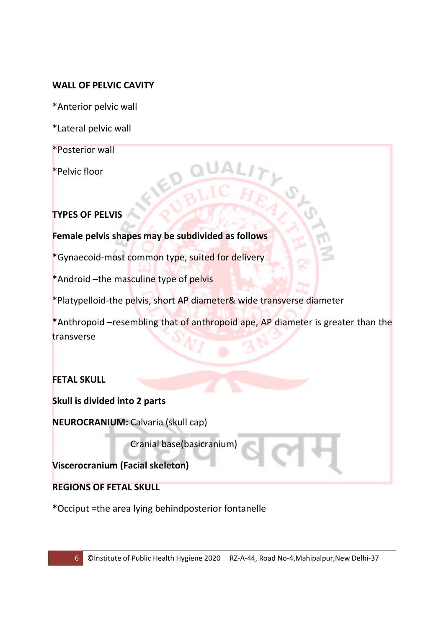#### **WALL OF PELVIC CAVITY**

\*Anterior pelvic wall

\*Lateral pelvic wall

\*Posterior wall

\*Pelvic floor

#### **TYPES OF PELVIS**

**Female pelvis shapes may be subdivided as follows** 

\*Gynaecoid-most common type, suited for delivery

\*Android –the masculine type of pelvis

\*Platypelloid-the pelvis, short AP diameter& wide transverse diameter

\*Anthropoid –resembling that of anthropoid ape, AP diameter is greater than the transverse

#### **FETAL SKULL**

**Skull is divided into 2 parts** 

**NEUROCRANIUM:** Calvaria (skull cap)

Cranial base(basicranium)

**Viscerocranium (Facial skeleton)** 

**REGIONS OF FETAL SKULL** 

**\***Occiput =the area lying behindposterior fontanelle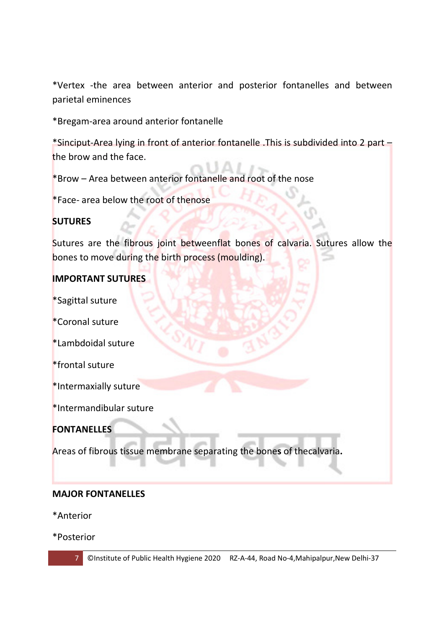\*Vertex -the area between anterior and posterior fontanelles and between parietal eminences

\*Bregam-area around anterior fontanelle

\*Sinciput-Area lying in front of anterior fontanelle .This is subdivided into 2 part – the brow and the face.

\*Brow – Area between anterior fontanelle and root of the nose

\*Face- area below the root of thenose

#### **SUTURES**

Sutures are the fibrous joint betweenflat bones of calvaria. Sutures allow the bones to move during the birth process (moulding).

#### **IMPORTANT SUTURES**

\*Sagittal suture

\*Coronal suture

\*Lambdoidal suture

\*frontal suture

\*Intermaxially suture

\*Intermandibular suture

**FONTANELLES** 

Areas of fibrous tissue membrane separating the bone**s** of thecalvaria**.** 

#### **MAJOR FONTANELLES**

\*Anterior

\*Posterior



7 ©Institute of Public Health Hygiene 2020 RZ-A-44, Road No-4,Mahipalpur,New Delhi-37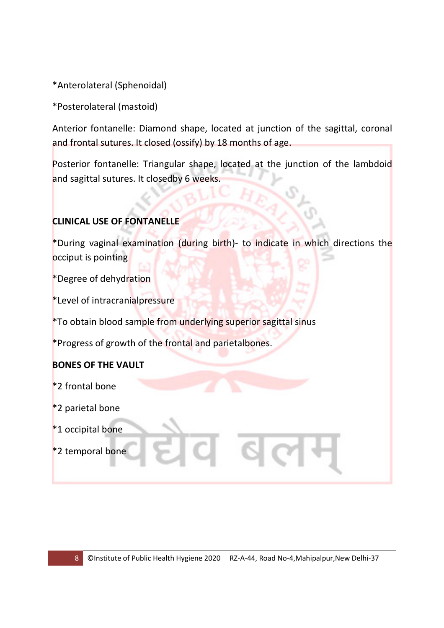\*Anterolateral (Sphenoidal)

\*Posterolateral (mastoid)

Anterior fontanelle: Diamond shape, located at junction of the sagittal, coronal and frontal sutures. It closed (ossify) by 18 months of age.

Posterior fontanelle: Triangular shape, located at the junction of the lambdoid and sagittal sutures. It closedby 6 weeks.

# **CLINICAL USE OF FONTANELLE**

\*During vaginal examination (during birth)- to indicate in which directions the occiput is pointing

\*Degree of dehydration

\*Level of intracranialpressure

\*To obtain blood sample from underlying superior sagittal sinus

\*Progress of growth of the frontal and parietalbones.

# **BONES OF THE VAULT**

\*2 frontal bone

\*2 parietal bone

\*1 occipital bone

\*2 temporal bone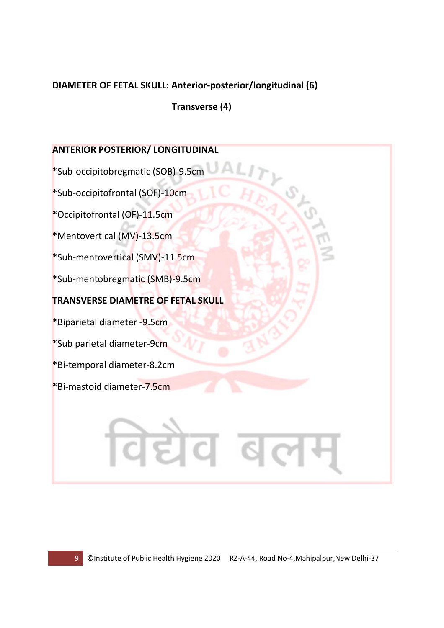## **DIAMETER OF FETAL SKULL: Anterior-posterior/longitudinal (6)**

 **Transverse (4)** 

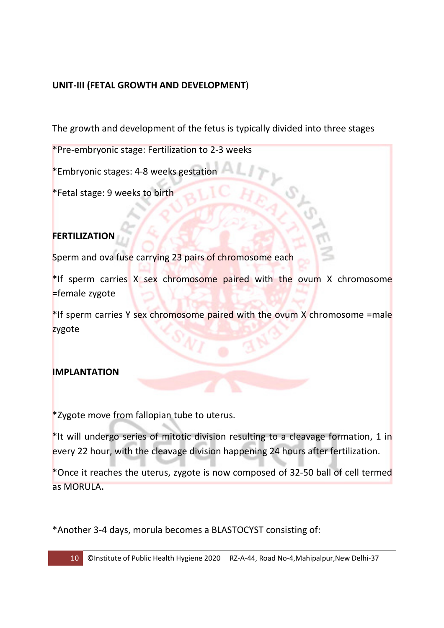## **UNIT-III (FETAL GROWTH AND DEVELOPMENT**)

The growth and development of the fetus is typically divided into three stages

\*Pre-embryonic stage: Fertilization to 2-3 weeks

\*Embryonic stages: 4-8 weeks gestation

\*Fetal stage: 9 weeks to birth

# **FERTILIZATION**

Sperm and ova fuse carrying 23 pairs of chromosome each

\*If sperm carries X sex chromosome paired with the ovum X chromosome =female zygote

\*If sperm carries Y sex chromosome paired with the ovum X chromosome =male zygote

#### **IMPLANTATION**

\*Zygote move from fallopian tube to uterus.

\*It will undergo series of mitotic division resulting to a cleavage formation, 1 in every 22 hour, with the cleavage division happening 24 hours after fertilization.

\*Once it reaches the uterus, zygote is now composed of 32-50 ball of cell termed as MORULA**.** 

\*Another 3-4 days, morula becomes a BLASTOCYST consisting of: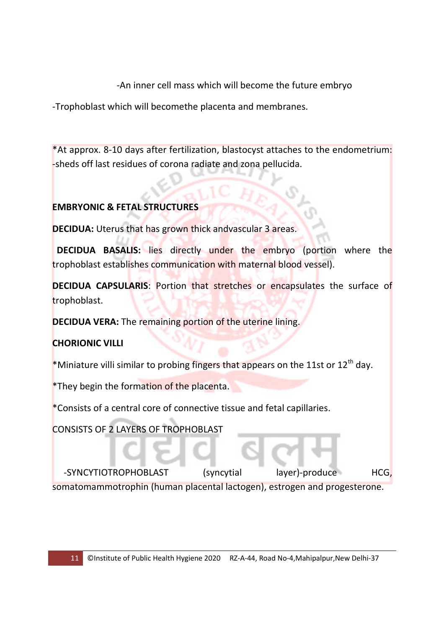-An inner cell mass which will become the future embryo

-Trophoblast which will becomethe placenta and membranes.

\*At approx. 8-10 days after fertilization, blastocyst attaches to the endometrium: -sheds off last residues of corona radiate and zona pellucida.

# **EMBRYONIC & FETAL STRUCTURES**

**DECIDUA:** Uterus that has grown thick andvascular 3 areas.

 **DECIDUA BASALIS:** lies directly under the embryo (portion where the trophoblast establishes communication with maternal blood vessel).

**DECIDUA CAPSULARIS**: Portion that stretches or encapsulates the surface of trophoblast.

**DECIDUA VERA:** The remaining portion of the uterine lining.

# **CHORIONIC VILLI**

\*Miniature villi similar to probing fingers that appears on the 11st or  $12^{th}$  day.

\*They begin the formation of the placenta.

\*Consists of a central core of connective tissue and fetal capillaries.

CONSISTS OF 2 LAYERS OF TROPHOBLAST

-SYNCYTIOTROPHOBLAST (syncytial layer)-produce HCG, somatomammotrophin (human placental lactogen), estrogen and progesterone.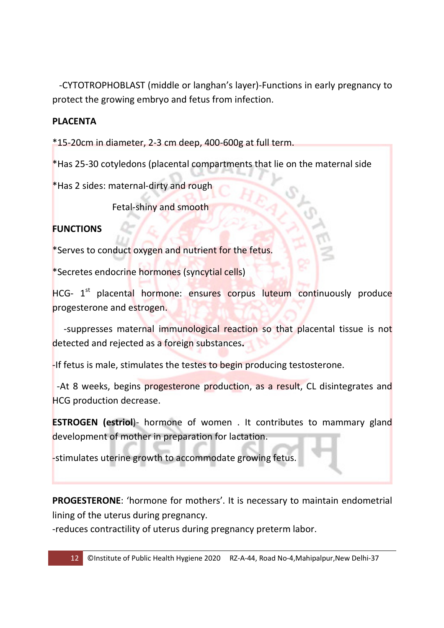-CYTOTROPHOBLAST (middle or langhan's layer)-Functions in early pregnancy to protect the growing embryo and fetus from infection.

## **PLACENTA**

\*15-20cm in diameter, 2-3 cm deep, 400-600g at full term.

\*Has 25-30 cotyledons (placental compartments that lie on the maternal side

\*Has 2 sides: maternal-dirty and rough

Fetal-shiny and smooth

# **FUNCTIONS**

\*Serves to conduct oxygen and nutrient for the fetus.

\*Secretes endocrine hormones (syncytial cells)

HCG- 1<sup>st</sup> placental hormone: ensures corpus luteum continuously produce progesterone and estrogen.

 -suppresses maternal immunological reaction so that placental tissue is not detected and rejected as a foreign substances**.** 

-If fetus is male, stimulates the testes to begin producing testosterone.

 -At 8 weeks, begins progesterone production, as a result, CL disintegrates and HCG production decrease.

**ESTROGEN (estriol**)- hormone of women . It contributes to mammary gland development of mother in preparation for lactation.

-stimulates uterine growth to accommodate growing fetus.

**PROGESTERONE**: 'hormone for mothers'. It is necessary to maintain endometrial lining of the uterus during pregnancy.

-reduces contractility of uterus during pregnancy preterm labor.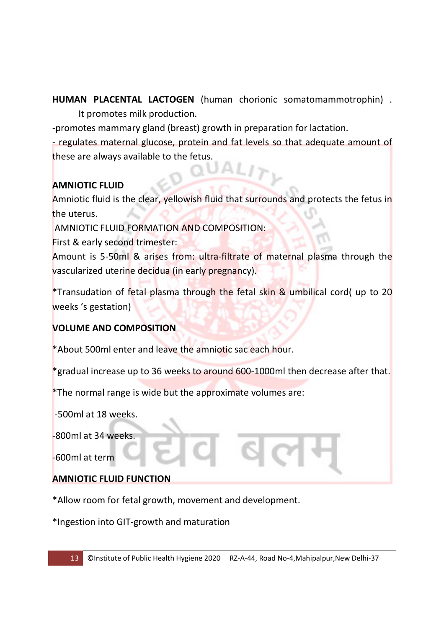**HUMAN PLACENTAL LACTOGEN** (human chorionic somatomammotrophin) . It promotes milk production.

-promotes mammary gland (breast) growth in preparation for lactation.

- regulates maternal glucose, protein and fat levels so that adequate amount of these are always available to the fetus.

# **AMNIOTIC FLUID**

Amniotic fluid is the clear, yellowish fluid that surrounds and protects the fetus in the uterus.

AMNIOTIC FLUID FORMATION AND COMPOSITION:

First & early second trimester:

Amount is 5-50ml & arises from: ultra-filtrate of maternal plasma through the vascularized uterine decidua (in early pregnancy).

\*Transudation of fetal plasma through the fetal skin & umbilical cord( up to 20 weeks 's gestation)

#### **VOLUME AND COMPOSITION**

\*About 500ml enter and leave the amniotic sac each hour.

\*gradual increase up to 36 weeks to around 600-1000ml then decrease after that.

\*The normal range is wide but the approximate volumes are:

-500ml at 18 weeks.

-800ml at 34 weeks.

-600ml at term

#### **AMNIOTIC FLUID FUNCTION**

\*Allow room for fetal growth, movement and development.

\*Ingestion into GIT-growth and maturation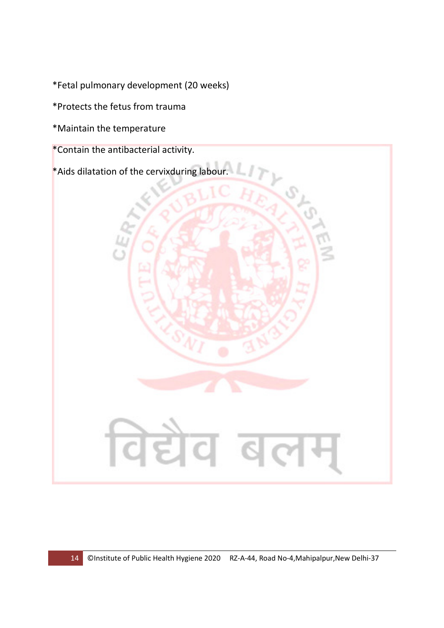\*Fetal pulmonary development (20 weeks)

\*Protects the fetus from trauma

\*Maintain the temperature

\*Contain the antibacterial activity.

\*Aids dilatation of the cervixduring labour.

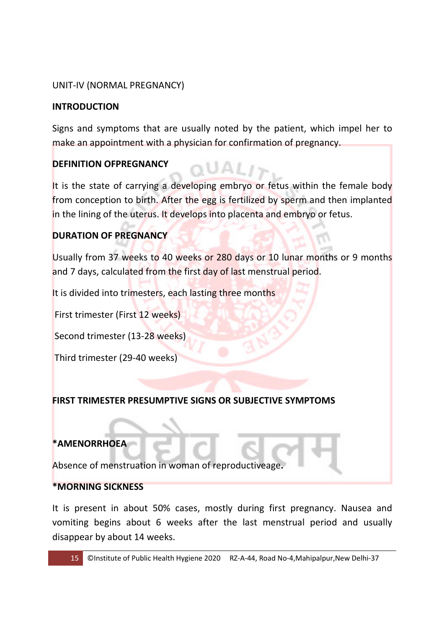## UNIT-IV (NORMAL PREGNANCY)

#### **INTRODUCTION**

Signs and symptoms that are usually noted by the patient, which impel her to make an appointment with a physician for confirmation of pregnancy.

#### **DEFINITION OFPREGNANCY**

It is the state of carrying a developing embryo or fetus within the female body from conception to birth. After the egg is fertilized by sperm and then implanted in the lining of the uterus. It develops into placenta and embryo or fetus.

## **DURATION OF PREGNANCY**

Usually from 37 weeks to 40 weeks or 280 days or 10 lunar months or 9 months and 7 days, calculated from the first day of last menstrual period.

It is divided into trimesters, each lasting three months

First trimester (First 12 weeks)

Second trimester (13-28 weeks)

Third trimester (29-40 weeks)

#### **FIRST TRIMESTER PRESUMPTIVE SIGNS OR SUBJECTIVE SYMPTOMS**

#### **\*AMENORRHOEA**

Absence of menstruation in woman of reproductiveage**.** 

#### **\*MORNING SICKNESS**

It is present in about 50% cases, mostly during first pregnancy. Nausea and vomiting begins about 6 weeks after the last menstrual period and usually disappear by about 14 weeks.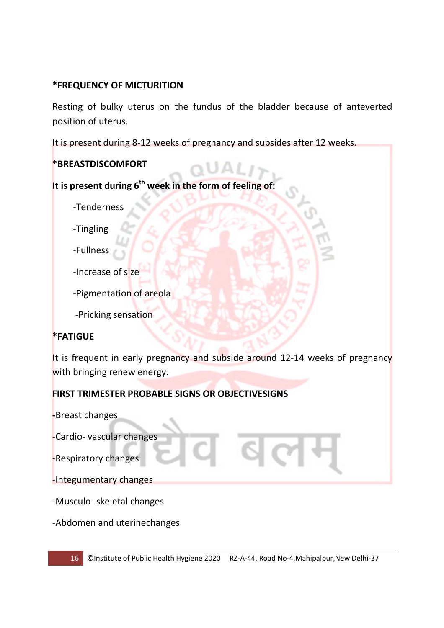#### **\*FREQUENCY OF MICTURITION**

Resting of bulky uterus on the fundus of the bladder because of anteverted position of uterus.

It is present during 8-12 weeks of pregnancy and subsides after 12 weeks.

## \***BREASTDISCOMFORT**

**It is present during 6th week in the form of feeling of:** 

-Tenderness

-Tingling

-Fullness

-Increase of size

-Pigmentation of areola

-Pricking sensation

# **\*FATIGUE**

It is frequent in early pregnancy and subside around 12-14 weeks of pregnancy with bringing renew energy.

# **FIRST TRIMESTER PROBABLE SIGNS OR OBJECTIVESIGNS**

**-**Breast changes

-Cardio- vascular changes

-Respiratory changes

-Integumentary changes

-Musculo- skeletal changes

-Abdomen and uterinechanges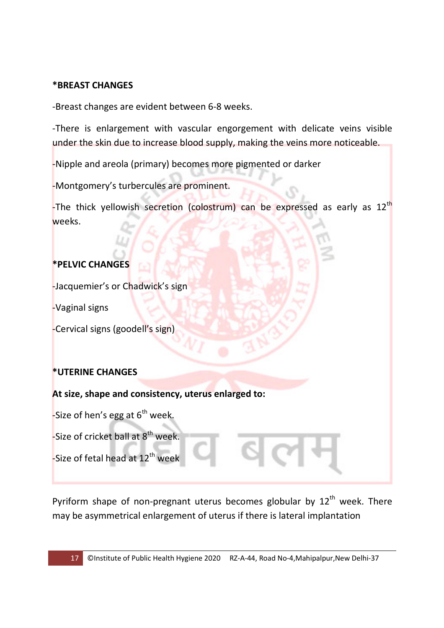#### **\*BREAST CHANGES**

-Breast changes are evident between 6-8 weeks.

-There is enlargement with vascular engorgement with delicate veins visible under the skin due to increase blood supply, making the veins more noticeable.

-Nipple and areola (primary) becomes more pigmented or darker

-Montgomery's turbercules are prominent.

-The thick yellowish secretion (colostrum) can be expressed as early as  $12<sup>th</sup>$ weeks.

# **\*PELVIC CHANGES**

-Jacquemier's or Chadwick's sign

-Vaginal signs

-Cervical signs (goodell's sign)

# **\*UTERINE CHANGES**

**At size, shape and consistency, uterus enlarged to:**

-Size of hen's egg at  $6<sup>th</sup>$  week.

-Size of cricket ball at  $8<sup>th</sup>$  week.

-Size of fetal head at  $12^{th}$  week

Pyriform shape of non-pregnant uterus becomes globular by  $12^{th}$  week. There may be asymmetrical enlargement of uterus if there is lateral implantation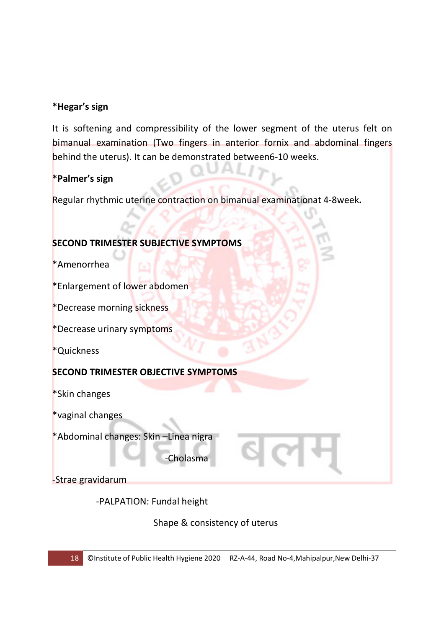## **\*Hegar's sign**

It is softening and compressibility of the lower segment of the uterus felt on bimanual examination (Two fingers in anterior fornix and abdominal fingers behind the uterus). It can be demonstrated between6-10 weeks.

## **\*Palmer's sign**

Regular rhythmic uterine contraction on bimanual examinationat 4-8week**.** 

## **SECOND TRIMESTER SUBJECTIVE SYMPTOMS**

\*Amenorrhea

\*Enlargement of lower abdomen

\*Decrease morning sickness

\*Decrease urinary symptoms

\*Quickness

#### **SECOND TRIMESTER OBJECTIVE SYMPTOMS**

\*Skin changes

\*vaginal changes

\*Abdominal changes: Skin –Linea nigra

-Cholasma

-Strae gravidarum

-PALPATION: Fundal height

Shape & consistency of uterus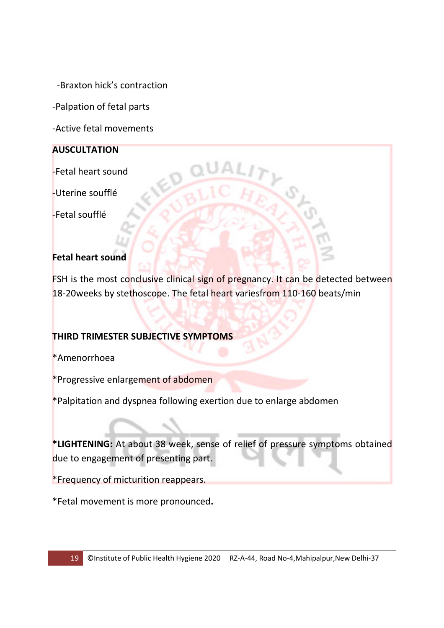-Braxton hick's contraction

-Palpation of fetal parts

-Active fetal movements

## **AUSCULTATION**

-Fetal heart sound

-Uterine soufflé

-Fetal soufflé

## **Fetal heart sound**

FSH is the most conclusive clinical sign of pregnancy. It can be detected between 18-20weeks by stethoscope. The fetal heart variesfrom 110-160 beats/min

#### **THIRD TRIMESTER SUBJECTIVE SYMPTOMS**

\*Amenorrhoea

\*Progressive enlargement of abdomen

\*Palpitation and dyspnea following exertion due to enlarge abdomen

**\*LIGHTENING:** At about 38 week, sense of relief of pressure symptoms obtained due to engagement of presenting part.

\*Frequency of micturition reappears.

\*Fetal movement is more pronounced**.**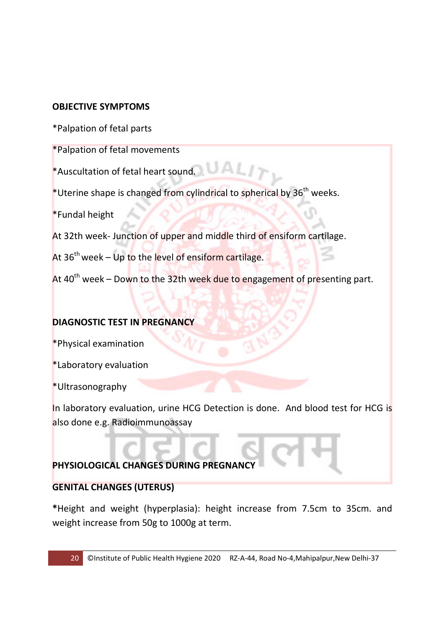## **OBJECTIVE SYMPTOMS**

\*Palpation of fetal parts

\*Palpation of fetal movements

\*Auscultation of fetal heart sound.

\*Uterine shape is changed from cylindrical to spherical by  $36<sup>th</sup>$  weeks.

\*Fundal height

At 32th week- Junction of upper and middle third of ensiform cartilage.

At  $36<sup>th</sup>$  week – Up to the level of ensiform cartilage.

At 40<sup>th</sup> week – Down to the 32th week due to engagement of presenting part.

#### **DIAGNOSTIC TEST IN PREGNANCY**

\*Physical examination

\*Laboratory evaluation

\*Ultrasonography

In laboratory evaluation, urine HCG Detection is done. And blood test for HCG is also done e.g. Radioimmunoassay

# **PHYSIOLOGICAL CHANGES DURING PREGNANC**

# **GENITAL CHANGES (UTERUS)**

**\***Height and weight (hyperplasia): height increase from 7.5cm to 35cm. and weight increase from 50g to 1000g at term.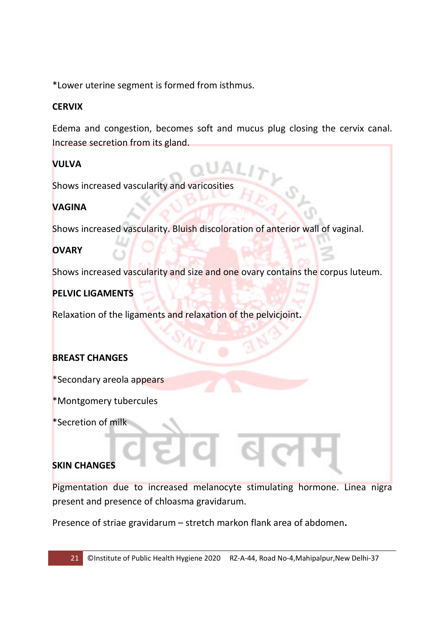\*Lower uterine segment is formed from isthmus.

## **CERVIX**

Edema and congestion, becomes soft and mucus plug closing the cervix canal. Increase secretion from its gland.

## **VULVA**

Shows increased vascularity and varicosities

# **VAGINA**

Shows increased vascularity. Bluish discoloration of anterior wall of vaginal.

## **OVARY**

Shows increased vascularity and size and one ovary contains the corpus luteum.

#### **PELVIC LIGAMENTS**

Relaxation of the ligaments and relaxation of the pelvicjoint**.** 

#### **BREAST CHANGES**

\*Secondary areola appears

\*Montgomery tubercules

\*Secretion of milk

#### **SKIN CHANGES**

Pigmentation due to increased melanocyte stimulating hormone. Linea nigra present and presence of chloasma gravidarum.

Presence of striae gravidarum – stretch markon flank area of abdomen**.**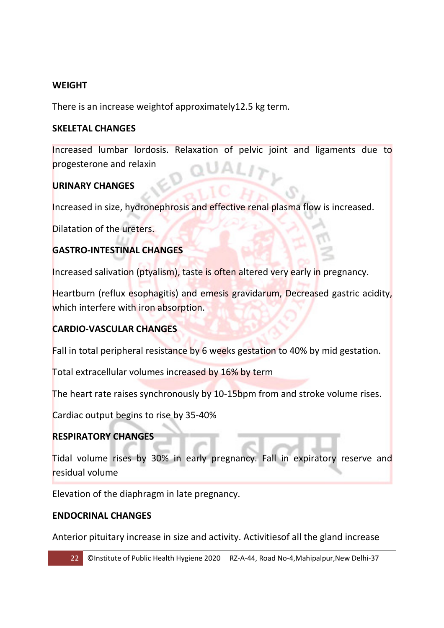#### **WEIGHT**

There is an increase weightof approximately12.5 kg term.

#### **SKELETAL CHANGES**

Increased lumbar lordosis. Relaxation of pelvic joint and ligaments due to progesterone and relaxin

#### **URINARY CHANGES**

Increased in size, hydronephrosis and effective renal plasma flow is increased.

Dilatation of the ureters.

#### **GASTRO-INTESTINAL CHANGES**

Increased salivation (ptyalism), taste is often altered very early in pregnancy.

Heartburn (reflux esophagitis) and emesis gravidarum, Decreased gastric acidity, which interfere with iron absorption.

#### **CARDIO-VASCULAR CHANGES**

Fall in total peripheral resistance by 6 weeks gestation to 40% by mid gestation.

Total extracellular volumes increased by 16% by term

The heart rate raises synchronously by 10-15bpm from and stroke volume rises.

Cardiac output begins to rise by 35-40%

#### **RESPIRATORY CHANGES**

Tidal volume rises by 30% in early pregnancy. Fall in expiratory reserve and residual volume

Elevation of the diaphragm in late pregnancy.

#### **ENDOCRINAL CHANGES**

Anterior pituitary increase in size and activity. Activitiesof all the gland increase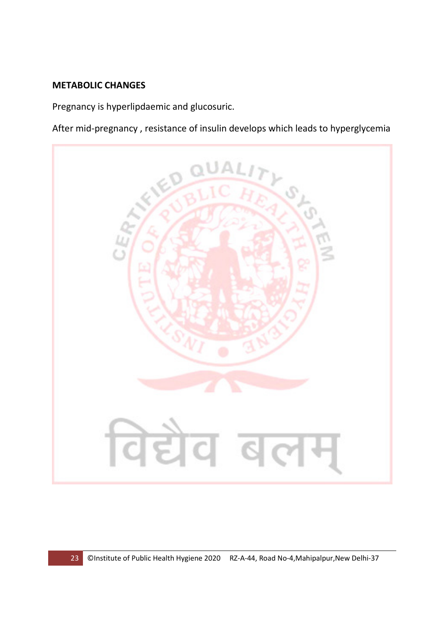#### **METABOLIC CHANGES**

Pregnancy is hyperlipdaemic and glucosuric.

After mid-pregnancy , resistance of insulin develops which leads to hyperglycemia

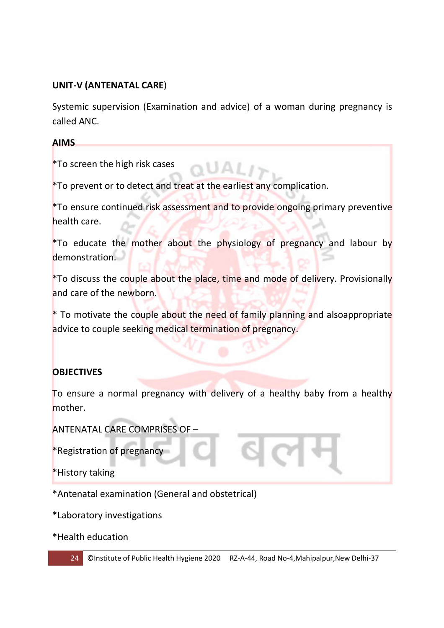## **UNIT-V (ANTENATAL CARE**)

Systemic supervision (Examination and advice) of a woman during pregnancy is called ANC.

#### **AIMS**

\*To screen the high risk cases

\*To prevent or to detect and treat at the earliest any complication.

\*To ensure continued risk assessment and to provide ongoing primary preventive health care.

\*To educate the mother about the physiology of pregnancy and labour by demonstration.

\*To discuss the couple about the place, time and mode of delivery. Provisionally and care of the newborn.

\* To motivate the couple about the need of family planning and alsoappropriate advice to couple seeking medical termination of pregnancy.

# **OBJECTIVES**

To ensure a normal pregnancy with delivery of a healthy baby from a healthy mother.

ANTENATAL CARE COMPRISES OF –

\*Registration of pregnancy

\*History taking

\*Antenatal examination (General and obstetrical)

\*Laboratory investigations

\*Health education



24 **CInstitute of Public Health Hygiene 2020** RZ-A-44, Road No-4, Mahipalpur, New Delhi-37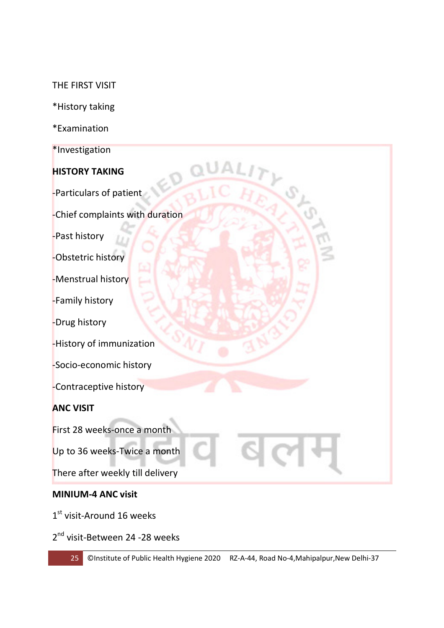#### THE FIRST VISIT

- \*History taking
- \*Examination
- \*Investigation

#### **HISTORY TAKING**

-Particulars of patient

-Chief complaints with duration

-Past history

-Obstetric history

-Menstrual history

-Family history

-Drug history

-History of immunization

-Socio-economic history

-Contraceptive history

#### **ANC VISIT**

First 28 weeks-once a month

Up to 36 weeks-Twice a month

There after weekly till delivery

#### **MINIUM-4 ANC visit**

1st visit-Around 16 weeks

2<sup>nd</sup> visit-Between 24 -28 weeks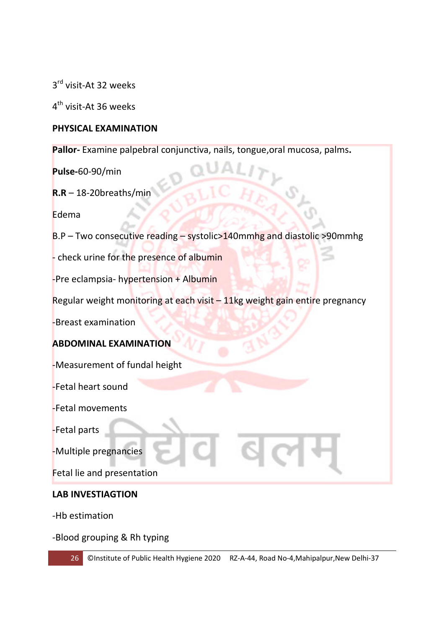3<sup>rd</sup> visit-At 32 weeks

4<sup>th</sup> visit-At 36 weeks

## **PHYSICAL EXAMINATION**

**Pallor-** Examine palpebral conjunctiva, nails, tongue,oral mucosa, palms**.** 

**Pulse-**60-90/min

**R.R** – 18-20breaths/min

Edema

B.P – Two consecutive reading – systolic>140mmhg and diastolic >90mmhg

- check urine for the presence of albumin

-Pre eclampsia- hypertension + Albumin

Regular weight monitoring at each visit – 11kg weight gain entire pregnancy

-Breast examination

#### **ABDOMINAL EXAMINATION**

-Measurement of fundal height

-Fetal heart sound

-Fetal movements

-Fetal parts

-Multiple pregnancies

Fetal lie and presentation

#### **LAB INVESTIAGTION**

-Hb estimation

-Blood grouping & Rh typing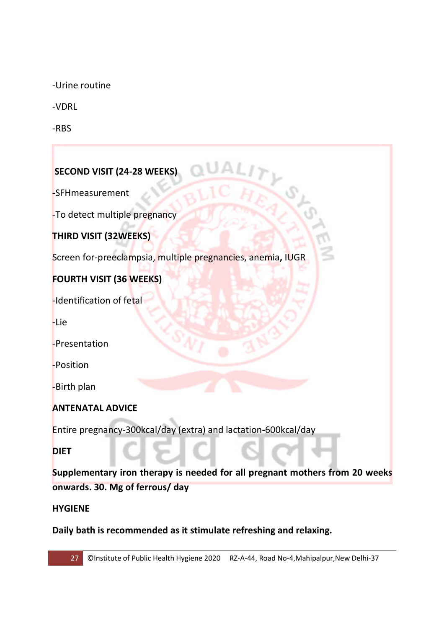-Urine routine

-VDRL

-RBS

# **SECOND VISIT (24-28 WEEKS)**

**-**SFHmeasurement

-To detect multiple pregnancy

**THIRD VISIT (32WEEKS)** 

Screen for-preeclampsia, multiple pregnancies, anemia**,** IUGR

## **FOURTH VISIT (36 WEEKS)**

-Identification of fetal

-Lie

-Presentation

-Position

-Birth plan

#### **ANTENATAL ADVICE**

Entire pregnancy-300kcal/day (extra) and lactation**-**600kcal/day

**DIET** 

**Supplementary iron therapy is needed for all pregnant mothers from 20 weeks onwards. 30. Mg of ferrous/ day** 

#### **HYGIENE**

**Daily bath is recommended as it stimulate refreshing and relaxing.**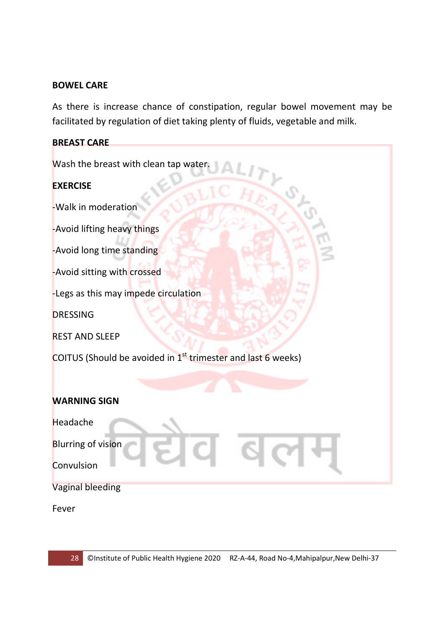#### **BOWEL CARE**

As there is increase chance of constipation, regular bowel movement may be facilitated by regulation of diet taking plenty of fluids, vegetable and milk.

| <b>BREAST CARE</b>                                                       |
|--------------------------------------------------------------------------|
| Wash the breast with clean tap water.                                    |
| <b>EXERCISE</b>                                                          |
| -Walk in moderation                                                      |
| -Avoid lifting heavy things                                              |
| -Avoid long time standing                                                |
| -Avoid sitting with crossed                                              |
| -Legs as this may impede circulation                                     |
| <b>DRESSING</b>                                                          |
| <b>REST AND SLEEP</b>                                                    |
| COITUS (Should be avoided in 1 <sup>st</sup> trimester and last 6 weeks) |
|                                                                          |
| <b>WARNING SIGN</b>                                                      |
| Headache                                                                 |
| <b>Blurring of vision</b>                                                |
| Convulsion                                                               |
| <b>Vaginal bleeding</b>                                                  |
|                                                                          |

Fever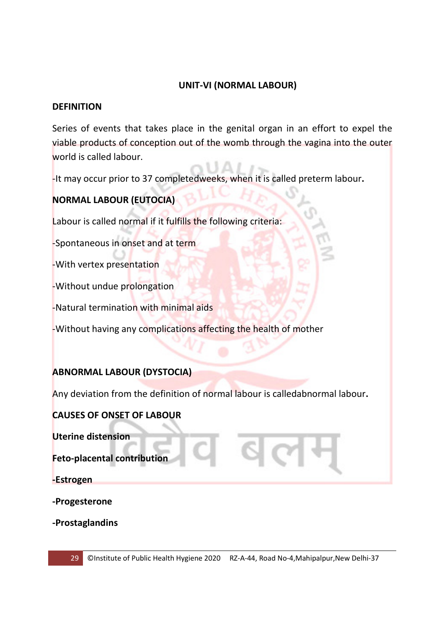#### **UNIT-VI (NORMAL LABOUR)**

#### **DEFINITION**

Series of events that takes place in the genital organ in an effort to expel the viable products of conception out of the womb through the vagina into the outer world is called labour.

-It may occur prior to 37 completedweeks, when it is called preterm labour**.** 

# **NORMAL LABOUR (EUTOCIA)**

Labour is called normal if it fulfills the following criteria:

-Spontaneous in onset and at term

-With vertex presentation

-Without undue prolongation

-Natural termination with minimal aids

-Without having any complications affecting the health of mother

#### **ABNORMAL LABOUR (DYSTOCIA)**

Any deviation from the definition of normal labour is calledabnormal labour**.** 

#### **CAUSES OF ONSET OF LABOUR**

**Uterine distension** 

**Feto-placental contribution** 

**-Estrogen** 

**-Progesterone** 

**-Prostaglandins**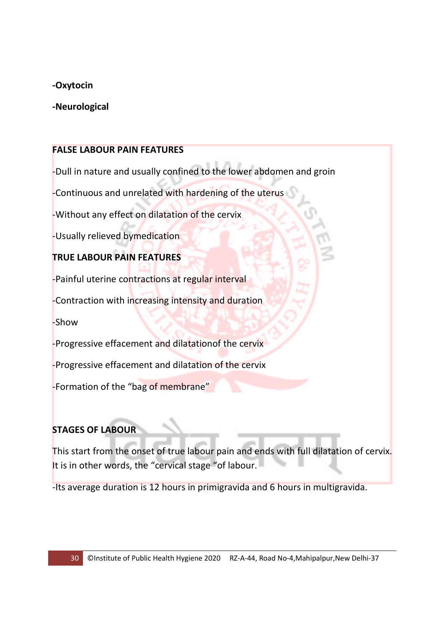#### **-Oxytocin**

#### **-Neurological**

#### **FALSE LABOUR PAIN FEATURES**

-Dull in nature and usually confined to the lower abdomen and groin

-Continuous and unrelated with hardening of the uterus

-Without any effect on dilatation of the cervix

-Usually relieved bymedication

## **TRUE LABOUR PAIN FEATURES**

-Painful uterine contractions at regular interval

-Contraction with increasing intensity and duration

-Show

-Progressive effacement and dilatationof the cervix

-Progressive effacement and dilatation of the cervix

-Formation of the "bag of membrane"

# **STAGES OF LABOUR**

This start from the onset of true labour pain and ends with full dilatation of cervix. It is in other words, the "cervical stage "of labour.

-Its average duration is 12 hours in primigravida and 6 hours in multigravida.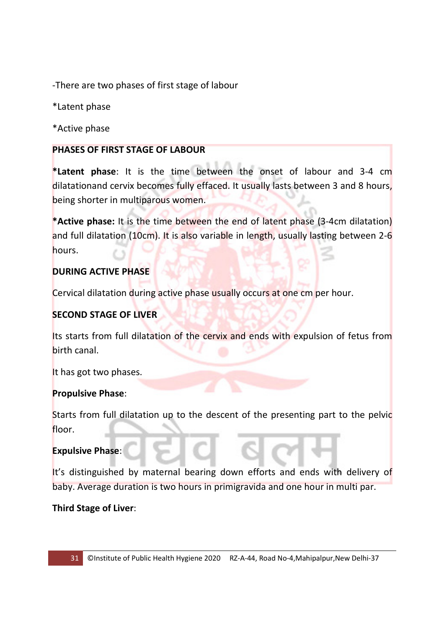-There are two phases of first stage of labour

\*Latent phase

\*Active phase

#### **PHASES OF FIRST STAGE OF LABOUR**

**\*Latent phase**: It is the time between the onset of labour and 3-4 cm dilatationand cervix becomes fully effaced. It usually lasts between 3 and 8 hours, being shorter in multiparous women.

**\*Active phase:** It is the time between the end of latent phase (3-4cm dilatation) and full dilatation (10cm). It is also variable in length, usually lasting between 2-6 hours.

#### **DURING ACTIVE PHASE**

Cervical dilatation during active phase usually occurs at one cm per hour.

## **SECOND STAGE OF LIVER**

Its starts from full dilatation of the cervix and ends with expulsion of fetus from birth canal.

It has got two phases.

#### **Propulsive Phase**:

Starts from full dilatation up to the descent of the presenting part to the pelvic floor.

#### **Expulsive Phase**:

It's distinguished by maternal bearing down efforts and ends with delivery of baby. Average duration is two hours in primigravida and one hour in multi par.

**Third Stage of Liver**: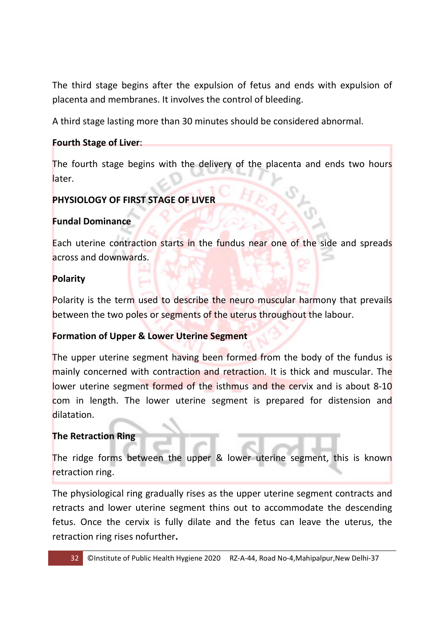The third stage begins after the expulsion of fetus and ends with expulsion of placenta and membranes. It involves the control of bleeding.

A third stage lasting more than 30 minutes should be considered abnormal.

## **Fourth Stage of Liver**:

The fourth stage begins with the delivery of the placenta and ends two hours later.

# **PHYSIOLOGY OF FIRST STAGE OF LIVER**

## **Fundal Dominance**

Each uterine contraction starts in the fundus near one of the side and spreads across and downwards.

#### **Polarity**

Polarity is the term used to describe the neuro muscular harmony that prevails between the two poles or segments of the uterus throughout the labour.

#### **Formation of Upper & Lower Uterine Segment**

The upper uterine segment having been formed from the body of the fundus is mainly concerned with contraction and retraction. It is thick and muscular. The lower uterine segment formed of the isthmus and the cervix and is about 8-10 com in length. The lower uterine segment is prepared for distension and dilatation.

#### **The Retraction Ring**

The ridge forms between the upper & lower uterine segment, this is known retraction ring.

The physiological ring gradually rises as the upper uterine segment contracts and retracts and lower uterine segment thins out to accommodate the descending fetus. Once the cervix is fully dilate and the fetus can leave the uterus, the retraction ring rises nofurther**.**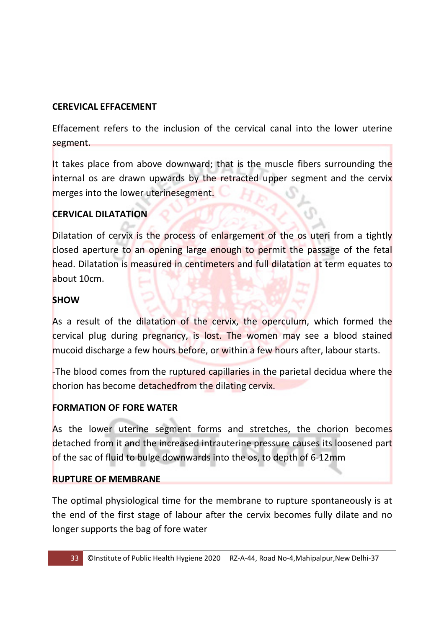## **CEREVICAL EFFACEMENT**

Effacement refers to the inclusion of the cervical canal into the lower uterine segment.

It takes place from above downward; that is the muscle fibers surrounding the internal os are drawn upwards by the retracted upper segment and the cervix merges into the lower uterinesegment.

# **CERVICAL DILATATION**

Dilatation of cervix is the process of enlargement of the os uteri from a tightly closed aperture to an opening large enough to permit the passage of the fetal head. Dilatation is measured in centimeters and full dilatation at term equates to about 10cm.

## **SHOW**

As a result of the dilatation of the cervix, the operculum, which formed the cervical plug during pregnancy, is lost. The women may see a blood stained mucoid discharge a few hours before, or within a few hours after, labour starts.

-The blood comes from the ruptured capillaries in the parietal decidua where the chorion has become detachedfrom the dilating cervix.

#### **FORMATION OF FORE WATER**

As the lower uterine segment forms and stretches, the chorion becomes detached from it and the increased intrauterine pressure causes its loosened part of the sac of fluid to bulge downwards into the os, to depth of 6-12mm

#### **RUPTURE OF MEMBRANE**

The optimal physiological time for the membrane to rupture spontaneously is at the end of the first stage of labour after the cervix becomes fully dilate and no longer supports the bag of fore water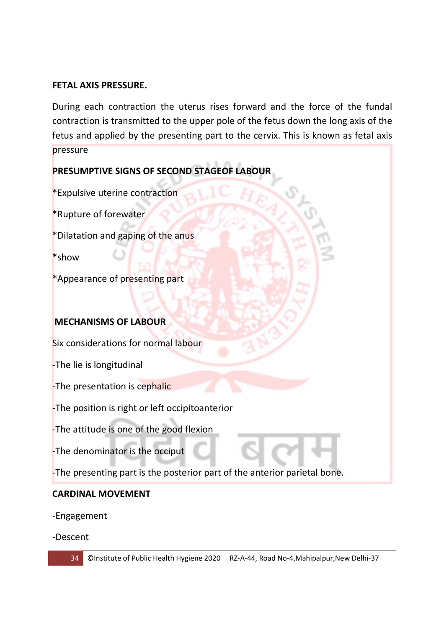#### **FETAL AXIS PRESSURE.**

During each contraction the uterus rises forward and the force of the fundal contraction is transmitted to the upper pole of the fetus down the long axis of the fetus and applied by the presenting part to the cervix. This is known as fetal axis pressure

# **PRESUMPTIVE SIGNS OF SECOND STAGEOF LABOUR**

\*Expulsive uterine contraction

\*Rupture of forewater

\*Dilatation and gaping of the anus

\*show

\*Appearance of presenting part

#### **MECHANISMS OF LABOUR**

Six considerations for normal labour

-The lie is longitudinal

-The presentation is cephalic

-The position is right or left occipitoanterior

-The attitude is one of the good flexion

-The denominator is the occiput

-The presenting part is the posterior part of the anterior parietal bone.

#### **CARDINAL MOVEMENT**

-Engagement

-Descent